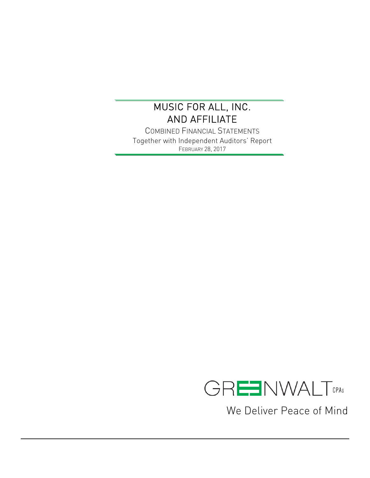$\overline{a}$ 

COMBINED FINANCIAL STATEMENTS Together with Independent Auditors' Report FEBRUARY 28, 2017



We Deliver Peace of Mind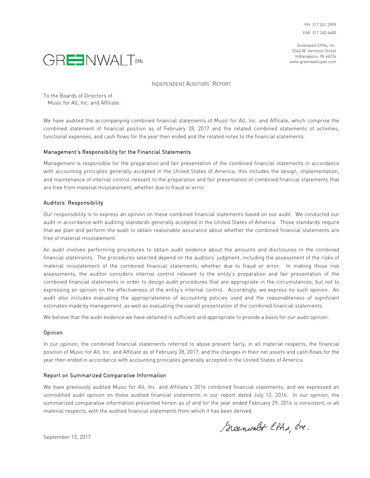Greenwalt CPAs, Inc. 5342 W. Vermont Street Indianapolis, IN 46224 www.greenwaltcpas.com



INDEPENDENT AUDITORS' REPORT

To the Boards of Directors of Music for All, Inc. and Affiliate:

We have audited the accompanying combined financial statements of Music for All, Inc. and Affiliate, which comprise the combined statement of financial position as of February 28, 2017 and the related combined statements of activities, functional expenses, and cash flows for the year then ended and the related notes to the financial statements.

#### Management's Responsibility for the Financial Statements

Management is responsible for the preparation and fair presentation of the combined financial statements in accordance with accounting principles generally accepted in the United States of America; this includes the design, implementation, and maintenance of internal control relevant to the preparation and fair presentation of combined financial statements that are free from material misstatement, whether due to fraud or error.

#### Auditors' Responsibility

Our responsibility is to express an opinion on these combined financial statements based on our audit. We conducted our audit in accordance with auditing standards generally accepted in the United States of America. Those standards require that we plan and perform the audit to obtain reasonable assurance about whether the combined financial statements are free of material misstatement.

An audit involves performing procedures to obtain audit evidence about the amounts and disclosures in the combined financial statements. The procedures selected depend on the auditors' judgment, including the assessment of the risks of material misstatement of the combined financial statements, whether due to fraud or error. In making those risk assessments, the auditor considers internal control relevant to the entity's preparation and fair presentation of the combined financial statements in order to design audit procedures that are appropriate in the circumstances, but not to expressing an opinion on the effectiveness of the entity's internal control. Accordingly, we express no such opinion. An audit also includes evaluating the appropriateness of accounting policies used and the reasonableness of significant estimates made by management, as well as evaluating the overall presentation of the combined financial statements.

We believe that the audit evidence we have obtained is sufficient and appropriate to provide a basis for our audit opinion.

#### Opinion

In our opinion, the combined financial statements referred to above present fairly, in all material respects, the financial position of Music for All, Inc. and Affiliate as of February 28, 2017, and the changes in their net assets and cash flows for the year then ended in accordance with accounting principles generally accepted in the United States of America.

### Report on Summarized Comparative Information

We have previously audited Music for All, Inc. and Affiliate's 2016 combined financial statements, and we expressed an unmodified audit opinion on those audited financial statements in our report dated July 13, 2016. In our opinion, the summarized comparative information presented herein as of and for the year ended February 29, 2016 is consistent, in all material respects, with the audited financial statements from which it has been derived.

Greenwalt CPAs, me.

September 13, 2017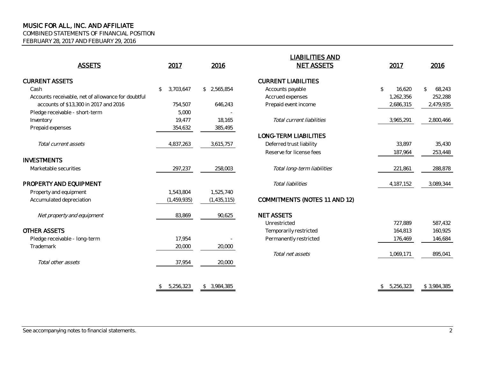COMBINED STATEMENTS OF FINANCIAL POSITION

FEBRUARY 28, 2017 AND FEBUARY 29, 2016

| <b>ASSETS</b>                                      | 2017            | 2016            | <u>LIADILITILU AIND</u><br><b>NET ASSETS</b> | 2017                   | 2016                     |
|----------------------------------------------------|-----------------|-----------------|----------------------------------------------|------------------------|--------------------------|
|                                                    |                 |                 |                                              |                        |                          |
| <b>CURRENT ASSETS</b>                              |                 |                 | <b>CURRENT LIABILITIES</b>                   |                        |                          |
| Cash                                               | 3,703,647<br>\$ | \$2,565,854     | Accounts payable                             | $\mathbb{S}$<br>16,620 | 68,243<br>$\mathfrak{P}$ |
| Accounts receivable, net of allowance for doubtful |                 |                 | Accrued expenses                             | 1,262,356              | 252,288                  |
| accounts of \$13,300 in 2017 and 2016              | 754,507         | 646,243         | Prepaid event income                         | 2,686,315              | 2,479,935                |
| Pledge receivable - short-term                     | 5,000           |                 |                                              |                        |                          |
| Inventory                                          | 19.477          | 18,165          | Total current liabilities                    | 3,965,291              | 2,800,466                |
| Prepaid expenses                                   | 354,632         | 385,495         |                                              |                        |                          |
|                                                    |                 |                 | LONG-TERM LIABILITIES                        |                        |                          |
| Total current assets                               | 4,837,263       | 3,615,757       | Deferred trust liability                     | 33,897                 | 35,430                   |
|                                                    |                 |                 | Reserve for license fees                     | 187,964                | 253,448                  |
| <b>INVESTMENTS</b>                                 |                 |                 |                                              |                        |                          |
| Marketable securities                              | 297,237         | 258,003         | Total long-term liabilities                  | 221,861                | 288,878                  |
| PROPERTY AND EQUIPMENT                             |                 |                 | Total liabilities                            | 4,187,152              | 3,089,344                |
| Property and equipment                             | 1,543,804       | 1,525,740       |                                              |                        |                          |
| Accumulated depreciation                           | (1, 459, 935)   | (1, 435, 115)   | COMMITMENTS (NOTES 11 AND 12)                |                        |                          |
| Net property and equipment                         | 83,869          | 90,625          | <b>NET ASSETS</b>                            |                        |                          |
|                                                    |                 |                 | Unrestricted                                 | 727,889                | 587,432                  |
| <b>OTHER ASSETS</b>                                |                 |                 | Temporarily restricted                       | 164,813                | 160,925                  |
| Pledge receivable - long-term                      | 17,954          |                 | Permanently restricted                       | 176,469                | 146,684                  |
| Trademark                                          | 20,000          | 20,000          |                                              |                        |                          |
|                                                    |                 |                 | Total net assets                             | 1,069,171              | 895,041                  |
| Total other assets                                 | 37,954          | 20,000          |                                              |                        |                          |
|                                                    | 5.256.323<br>\$ | 3.984.385<br>\$ |                                              | \$5.256.323            | \$3.984.385              |

| 2017                       | 2016                       | <b>LIABILITIES AND</b><br><b>NET ASSETS</b> | 2017            | 2016         |
|----------------------------|----------------------------|---------------------------------------------|-----------------|--------------|
|                            |                            | <b>CURRENT LIABILITIES</b>                  |                 |              |
| \$<br>3,703,647            | 2,565,854<br>\$            | Accounts payable                            | \$<br>16,620    | 68,243<br>\$ |
|                            |                            | Accrued expenses                            | 1,262,356       | 252,288      |
| 754,507                    | 646,243                    | Prepaid event income                        | 2,686,315       | 2,479,935    |
| 5,000                      |                            |                                             |                 |              |
| 19,477                     | 18,165                     | Total current liabilities                   | 3,965,291       | 2,800,466    |
| 354,632                    | 385,495                    |                                             |                 |              |
|                            |                            | <b>LONG-TERM LIABILITIES</b>                |                 |              |
| 4,837,263                  | 3,615,757                  | Deferred trust liability                    | 33,897          | 35,430       |
|                            |                            | Reserve for license fees                    | 187,964         | 253,448      |
| 297,237                    | 258,003                    | Total long-term liabilities                 | 221,861         | 288,878      |
|                            |                            | Total liabilities                           | 4,187,152       | 3,089,344    |
| 1,543,804<br>(1, 459, 935) | 1,525,740<br>(1, 435, 115) | <b>COMMITMENTS (NOTES 11 AND 12)</b>        |                 |              |
| 83,869                     | 90,625                     | <b>NET ASSETS</b>                           |                 |              |
|                            |                            | Unrestricted                                | 727,889         | 587,432      |
|                            |                            | Temporarily restricted                      | 164,813         | 160,925      |
| 17,954                     |                            | Permanently restricted                      | 176,469         | 146,684      |
| 20,000                     | 20,000                     |                                             |                 |              |
|                            |                            | Total net assets                            | 1,069,171       | 895,041      |
| 37,954                     | 20,000                     |                                             |                 |              |
| \$<br>5,256,323            | 3,984,385<br>\$            |                                             | 5,256,323<br>\$ | \$3,984,385  |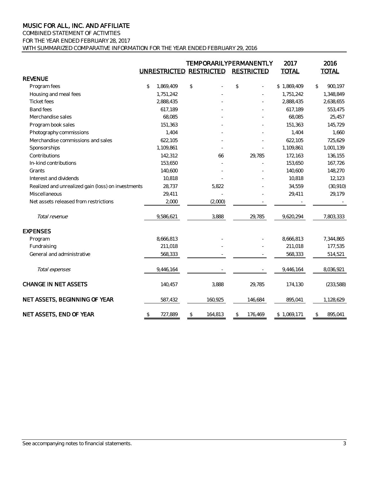COMBINED STATEMENT OF ACTIVITIES FOR THE YEAR ENDED FEBRUARY 28, 2017 WITH SUMMARIZED COMPARATIVE INFORMATION FOR THE YEAR ENDED FEBRUARY 29, 2016

|                                                    | UNRESTRICTED RESTRICTED | <b>TEMPORARILYPERMANENTLY</b> |      | <b>RESTRICTED</b> | 2017<br><b>TOTAL</b> | 2016<br><b>TOTAL</b> |
|----------------------------------------------------|-------------------------|-------------------------------|------|-------------------|----------------------|----------------------|
| <b>REVENUE</b>                                     |                         |                               |      |                   |                      |                      |
| Program fees                                       | \$<br>1,869,409         | \$                            | $\,$ |                   | \$1,869,409          | \$<br>900,197        |
| Housing and meal fees                              | 1,751,242               |                               |      |                   | 1,751,242            | 1,348,849            |
| <b>Ticket</b> fees                                 | 2,888,435               |                               |      |                   | 2,888,435            | 2,638,655            |
| <b>Band fees</b>                                   | 617.189                 |                               |      |                   | 617.189              | 553,475              |
| Merchandise sales                                  | 68,085                  |                               |      |                   | 68,085               | 25,457               |
| Program book sales                                 | 151,363                 |                               |      |                   | 151,363              | 145,729              |
| Photography commissions                            | 1.404                   |                               |      |                   | 1.404                | 1,660                |
| Merchandise commissions and sales                  | 622,105                 |                               |      |                   | 622,105              | 725,629              |
| Sponsorships                                       | 1,109,861               |                               |      |                   | 1,109,861            | 1,001,139            |
| Contributions                                      | 142,312                 | 66                            |      | 29,785            | 172,163              | 136,155              |
| In-kind contributions                              | 153,650                 |                               |      |                   | 153,650              | 167,726              |
| Grants                                             | 140,600                 |                               |      |                   | 140,600              | 148,270              |
| Interest and dividends                             | 10,818                  |                               |      |                   | 10,818               | 12,123               |
| Realized and unrealized gain (loss) on investments | 28,737                  | 5,822                         |      |                   | 34,559               | (30, 910)            |
| Miscellaneous                                      | 29,411                  |                               |      |                   | 29,411               | 29,179               |
| Net assets released from restrictions              | 2,000                   | (2,000)                       |      |                   |                      |                      |
| Total revenue                                      | 9,586,621               | 3,888                         |      | 29,785            | 9,620,294            | 7,803,333            |
| <b>EXPENSES</b>                                    |                         |                               |      |                   |                      |                      |
| Program                                            | 8,666,813               |                               |      |                   | 8,666,813            | 7,344,865            |
| Fundraising                                        | 211,018                 |                               |      |                   | 211,018              | 177,535              |
| General and administrative                         | 568,333                 |                               |      |                   | 568,333              | 514,521              |
| Total expenses                                     | 9,446,164               |                               |      |                   | 9,446,164            | 8,036,921            |
| <b>CHANGE IN NET ASSETS</b>                        | 140,457                 | 3,888                         |      | 29,785            | 174,130              | (233,588)            |
| NET ASSETS, BEGINNING OF YEAR                      | 587,432                 | 160,925                       |      | 146,684           | 895,041              | 1,128,629            |
| NET ASSETS, END OF YEAR                            | \$<br>727,889           | \$<br>164,813                 | \$   | 176,469           | \$1,069,171          | \$<br>895,041        |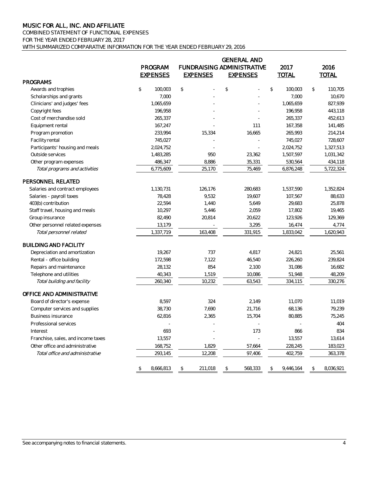# COMBINED STATEMENT OF FUNCTIONAL EXPENSES

FOR THE YEAR ENDED FEBRUARY 28, 2017

WITH SUMMARIZED COMPARATIVE INFORMATION FOR THE YEAR ENDED FEBRUARY 29, 2016

|                                    |                 |                 | <b>GENERAL AND</b>                |               |              |                |              |
|------------------------------------|-----------------|-----------------|-----------------------------------|---------------|--------------|----------------|--------------|
|                                    | <b>PROGRAM</b>  |                 | <b>FUNDRAISING ADMINISTRATIVE</b> |               | 2017         |                | 2016         |
|                                    | <b>EXPENSES</b> | <b>EXPENSES</b> | <b>EXPENSES</b>                   |               | <b>TOTAL</b> |                | <b>TOTAL</b> |
| <b>PROGRAMS</b>                    |                 |                 |                                   |               |              |                |              |
| Awards and trophies                | \$<br>100,003   | \$              | \$                                | $\mathcal{L}$ | 100,003      | $$\mathbb{S}$$ | 110,705      |
| Scholarships and grants            | 7,000           |                 |                                   |               | 7,000        |                | 10,670       |
| Clinicians' and judges' fees       | 1,065,659       |                 |                                   |               | 1,065,659    |                | 827,939      |
| Copyright fees                     | 196,958         |                 |                                   |               | 196,958      |                | 443,118      |
| Cost of merchandise sold           | 265,337         |                 |                                   |               | 265,337      |                | 452,613      |
| Equipment rental                   | 167,247         |                 | 111                               |               | 167,358      |                | 141,485      |
| Program promotion                  | 233,994         | 15,334          | 16,665                            |               | 265,993      |                | 214,214      |
| Facility rental                    | 745,027         |                 |                                   |               | 745,027      |                | 728,607      |
| Participants' housing and meals    | 2,024,752       |                 |                                   |               | 2,024,752    |                | 1,327,513    |
| Outside services                   | 1,483,285       | 950             | 23,362                            |               | 1,507,597    |                | 1,031,342    |
| Other program expenses             | 486,347         | 8,886           | 35,331                            |               | 530,564      |                | 434,118      |
| Total programs and activities      | 6,775,609       | 25,170          | 75,469                            |               | 6,876,248    |                | 5,722,324    |
| PERSONNEL RELATED                  |                 |                 |                                   |               |              |                |              |
| Salaries and contract employees    | 1,130,731       | 126,176         | 280,683                           |               | 1,537,590    |                | 1,352,824    |
| Salaries - payroll taxes           | 78,428          | 9,532           | 19,607                            |               | 107,567      |                | 88,633       |
| 403(b) contribution                | 22,594          | 1,440           | 5,649                             |               | 29,683       |                | 25,878       |
| Staff travel, housing and meals    | 10,297          | 5,446           | 2,059                             |               | 17,802       |                | 19,465       |
| Group insurance                    | 82,490          | 20,814          | 20,622                            |               | 123,926      |                | 129,369      |
| Other personnel related expenses   | 13,179          |                 | 3,295                             |               | 16,474       |                | 4,774        |
| Total personnel related            | 1,337,719       | 163,408         | 331,915                           |               | 1,833,042    |                | 1,620,943    |
| <b>BUILDING AND FACILITY</b>       |                 |                 |                                   |               |              |                |              |
| Depreciation and amortization      | 19,267          | 737             | 4,817                             |               | 24,821       |                | 25,561       |
| Rental - office building           | 172,598         | 7,122           | 46,540                            |               | 226,260      |                | 239,824      |
| Repairs and maintenance            | 28,132          | 854             | 2,100                             |               | 31,086       |                | 16,682       |
| Telephone and utilities            | 40,343          | 1,519           | 10,086                            |               | 51,948       |                | 48,209       |
| Total building and facility        | 260,340         | 10,232          | 63,543                            |               | 334,115      |                | 330,276      |
| OFFICE AND ADMINISTRATIVE          |                 |                 |                                   |               |              |                |              |
| Board of director's expense        | 8,597           | 324             | 2,149                             |               | 11,070       |                | 11,019       |
| Computer services and supplies     | 38,730          | 7,690           | 21,716                            |               | 68,136       |                | 79,239       |
| Business insurance                 | 62,816          | 2,365           | 15,704                            |               | 80,885       |                | 75,245       |
| Professional services              |                 |                 |                                   |               |              |                | 404          |
| Interest                           | 693             |                 | 173                               |               | 866          |                | 834          |
| Franchise, sales, and income taxes | 13,557          |                 |                                   |               | 13,557       |                | 13,614       |
| Other office and administrative    | 168,752         | 1,829           | 57,664                            |               | 228,245      |                | 183,023      |
| Total office and administrative    | 293,145         | 12,208          | 97,406                            |               | 402,759      |                | 363,378      |
|                                    | \$<br>8,666,813 | \$<br>211,018   | \$<br>568,333                     | \$            | 9,446,164    | \$             | 8,036,921    |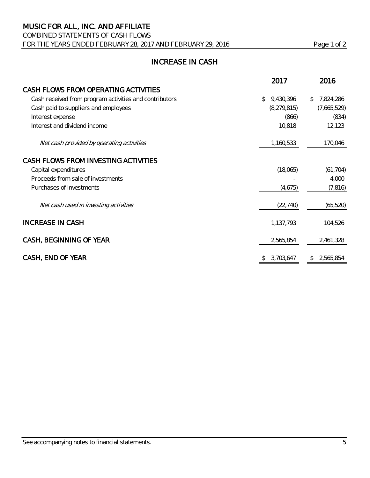# COMBINED STATEMENTS OF CASH FLOWS FOR THE YEARS ENDED FEBRUARY 28, 2017 AND FEBRUARY 29, 2016 Page 1 of 2

# INCREASE IN CASH

|                                                        | 2017            | 2016            |
|--------------------------------------------------------|-----------------|-----------------|
| CASH FLOWS FROM OPERATING ACTIVITIES                   |                 |                 |
| Cash received from program activities and contributors | 9,430,396<br>\$ | 7,824,286<br>\$ |
| Cash paid to suppliers and employees                   | (8, 279, 815)   | (7,665,529)     |
| Interest expense                                       | (866)           | (834)           |
| Interest and dividend income                           | 10,818          | 12,123          |
| Net cash provided by operating activities              | 1,160,533       | 170,046         |
| CASH FLOWS FROM INVESTING ACTIVITIES                   |                 |                 |
| Capital expenditures                                   | (18,065)        | (61, 704)       |
| Proceeds from sale of investments                      |                 | 4,000           |
| Purchases of investments                               | (4,675)         | (7, 816)        |
| Net cash used in investing activities                  | (22, 740)       | (65, 520)       |
| <b>INCREASE IN CASH</b>                                | 1,137,793       | 104,526         |
| CASH, BEGINNING OF YEAR                                | 2,565,854       | 2,461,328       |
| CASH, END OF YEAR                                      | 3,703,647       | 2,565,854<br>\$ |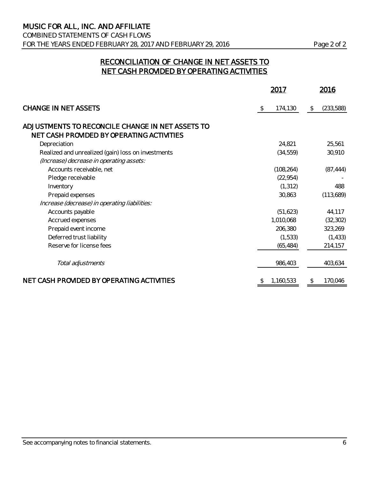COMBINED STATEMENTS OF CASH FLOWS FOR THE YEARS ENDED FEBRUARY 28, 2017 AND FEBRUARY 29, 2016 Page 2 of 2

# RECONCILIATION OF CHANGE IN NET ASSETS TO NET CASH PROVIDED BY OPERATING ACTIVITIES

|                                                                                               | 2017          | 2016            |
|-----------------------------------------------------------------------------------------------|---------------|-----------------|
| <b>CHANGE IN NET ASSETS</b>                                                                   | 174,130<br>\$ | (233,588)<br>\$ |
| ADJUSTMENTS TO RECONCILE CHANGE IN NET ASSETS TO<br>NET CASH PROVIDED BY OPERATING ACTIVITIES |               |                 |
| Depreciation                                                                                  | 24,821        | 25,561          |
| Realized and unrealized (gain) loss on investments                                            | (34, 559)     | 30,910          |
| (Increase) decrease in operating assets:                                                      |               |                 |
| Accounts receivable, net                                                                      | (108, 264)    | (87, 444)       |
| Pledge receivable                                                                             | (22, 954)     |                 |
| Inventory                                                                                     | (1, 312)      | 488             |
| Prepaid expenses                                                                              | 30,863        | (113,689)       |
| Increase (decrease) in operating liabilities:                                                 |               |                 |
| Accounts payable                                                                              | (51, 623)     | 44,117          |
| Accrued expenses                                                                              | 1,010,068     | (32, 302)       |
| Prepaid event income                                                                          | 206,380       | 323,269         |
| Deferred trust liability                                                                      | (1,533)       | (1, 433)        |
| Reserve for license fees                                                                      | (65, 484)     | 214,157         |
| Total adjustments                                                                             | 986,403       | 403,634         |
| NET CASH PROVIDED BY OPERATING ACTIVITIES                                                     | 1,160,533     | 170,046<br>\$   |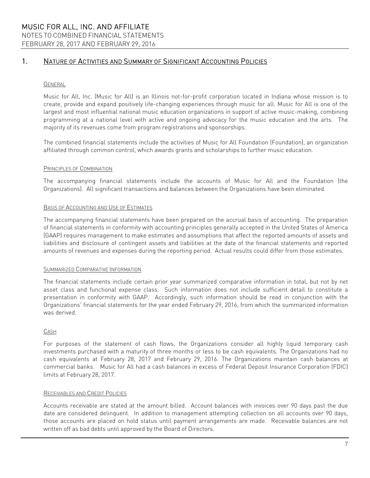### GENERAL

Music for All, Inc. (Music for All) is an Illinois not-for-profit corporation located in Indiana whose mission is to create, provide and expand positively life-changing experiences through music for all. Music for All is one of the largest and most influential national music education organizations in support of active music-making, combining programming at a national level with active and ongoing advocacy for the music education and the arts. The majority of its revenues come from program registrations and sponsorships.

The combined financial statements include the activities of Music for All Foundation (Foundation), an organization affiliated through common control, which awards grants and scholarships to further music education.

#### PRINCIPLES OF COMBINATION

The accompanying financial statements include the accounts of Music for All and the Foundation (the Organizations). All significant transactions and balances between the Organizations have been eliminated.

#### BASIS OF ACCOUNTING AND USE OF ESTIMATES

The accompanying financial statements have been prepared on the accrual basis of accounting. The preparation of financial statements in conformity with accounting principles generally accepted in the United States of America (GAAP) requires management to make estimates and assumptions that affect the reported amounts of assets and liabilities and disclosure of contingent assets and liabilities at the date of the financial statements and reported amounts of revenues and expenses during the reporting period. Actual results could differ from those estimates.

#### SUMMARIZED COMPARATIVE INFORMATION

The financial statements include certain prior year summarized comparative information in total, but not by net asset class and functional expense class. Such information does not include sufficient detail to constitute a presentation in conformity with GAAP. Accordingly, such information should be read in conjunction with the Organizations' financial statements for the year ended February 29, 2016, from which the summarized information was derived.

### CASH

For purposes of the statement of cash flows, the Organizations consider all highly liquid temporary cash investments purchased with a maturity of three months or less to be cash equivalents. The Organizations had no cash equivalents at February 28, 2017 and February 29, 2016. The Organizations maintain cash balances at commercial banks. Music for All had a cash balances in excess of Federal Deposit Insurance Corporation (FDIC) limits at February 28, 2017.

### RECEIVABLES AND CREDIT POLICIES

Accounts receivable are stated at the amount billed. Account balances with invoices over 90 days past the due date are considered delinquent. In addition to management attempting collection on all accounts over 90 days, those accounts are placed on hold status until payment arrangements are made. Receivable balances are not written off as bad debts until approved by the Board of Directors.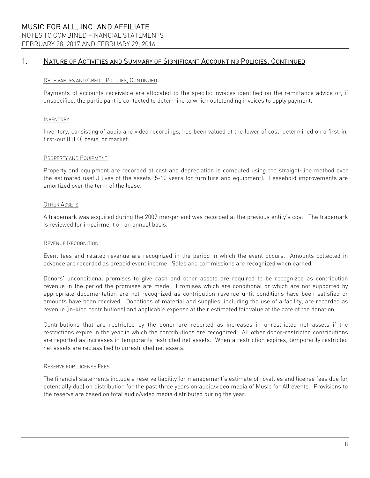#### RECEIVABLES AND CREDIT POLICIES, CONTINUED

Payments of accounts receivable are allocated to the specific invoices identified on the remittance advice or, if unspecified, the participant is contacted to determine to which outstanding invoices to apply payment.

#### INVENTORY

Inventory, consisting of audio and video recordings, has been valued at the lower of cost, determined on a first-in, first-out (FIFO) basis, or market.

#### PROPERTY AND EQUIPMENT

Property and equipment are recorded at cost and depreciation is computed using the straight-line method over the estimated useful lives of the assets (5-10 years for furniture and equipment). Leasehold improvements are amortized over the term of the lease.

### OTHER ASSETS

A trademark was acquired during the 2007 merger and was recorded at the previous entity's cost. The trademark is reviewed for impairment on an annual basis.

#### REVENUE RECOGNITION

Event fees and related revenue are recognized in the period in which the event occurs. Amounts collected in advance are recorded as prepaid event income. Sales and commissions are recognized when earned.

Donors' unconditional promises to give cash and other assets are required to be recognized as contribution revenue in the period the promises are made. Promises which are conditional or which are not supported by appropriate documentation are not recognized as contribution revenue until conditions have been satisfied or amounts have been received. Donations of material and supplies, including the use of a facility, are recorded as revenue (in-kind contributions) and applicable expense at their estimated fair value at the date of the donation.

Contributions that are restricted by the donor are reported as increases in unrestricted net assets if the restrictions expire in the year in which the contributions are recognized. All other donor-restricted contributions are reported as increases in temporarily restricted net assets. When a restriction expires, temporarily restricted net assets are reclassified to unrestricted net assets.

#### RESERVE FOR LICENSE FEES

The financial statements include a reserve liability for management's estimate of royalties and license fees due (or potentially due) on distribution for the past three years on audio/video media of Music for All events. Provisions to the reserve are based on total audio/video media distributed during the year.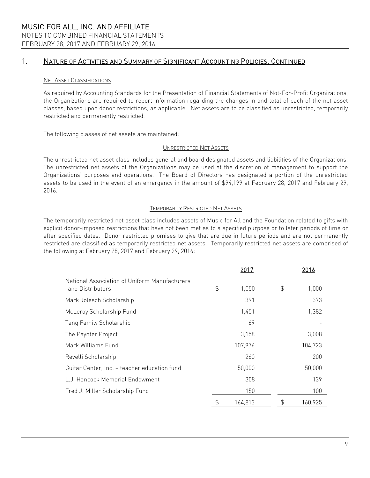### NET ASSET CLASSIFICATIONS

As required by Accounting Standards for the Presentation of Financial Statements of Not-For-Profit Organizations, the Organizations are required to report information regarding the changes in and total of each of the net asset classes, based upon donor restrictions, as applicable. Net assets are to be classified as unrestricted, temporarily restricted and permanently restricted.

The following classes of net assets are maintained:

#### UNRESTRICTED NET ASSETS

The unrestricted net asset class includes general and board designated assets and liabilities of the Organizations. The unrestricted net assets of the Organizations may be used at the discretion of management to support the Organizations' purposes and operations. The Board of Directors has designated a portion of the unrestricted assets to be used in the event of an emergency in the amount of \$94,199 at February 28, 2017 and February 29, 2016.

#### TEMPORARILY RESTRICTED NET ASSETS

The temporarily restricted net asset class includes assets of Music for All and the Foundation related to gifts with explicit donor-imposed restrictions that have not been met as to a specified purpose or to later periods of time or after specified dates. Donor restricted promises to give that are due in future periods and are not permanently restricted are classified as temporarily restricted net assets. Temporarily restricted net assets are comprised of the following at February 28, 2017 and February 29, 2016:

|                                                                   | 2017          | 2016          |
|-------------------------------------------------------------------|---------------|---------------|
| National Association of Uniform Manufacturers<br>and Distributors | \$<br>1,050   | \$<br>1,000   |
| Mark Jolesch Scholarship                                          | 391           | 373           |
| McLeroy Scholarship Fund                                          | 1,451         | 1,382         |
| <b>Tang Family Scholarship</b>                                    | 69            |               |
| The Paynter Project                                               | 3,158         | 3,008         |
| Mark Williams Fund                                                | 107,976       | 104,723       |
| Revelli Scholarship                                               | 260           | 200           |
| Guitar Center, Inc. - teacher education fund                      | 50,000        | 50,000        |
| L.J. Hancock Memorial Endowment                                   | 308           | 139           |
| Fred J. Miller Scholarship Fund                                   | 150           | 100           |
|                                                                   | \$<br>164,813 | \$<br>160,925 |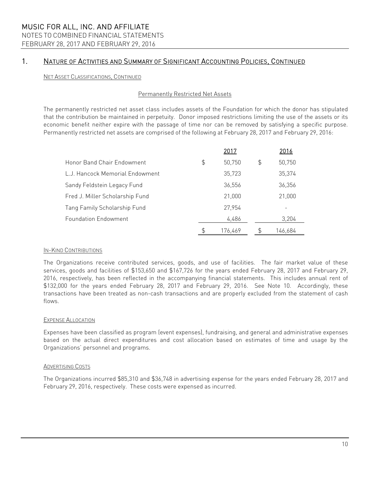### NET ASSET CLASSIFICATIONS, CONTINUED

### Permanently Restricted Net Assets

The permanently restricted net asset class includes assets of the Foundation for which the donor has stipulated that the contribution be maintained in perpetuity. Donor imposed restrictions limiting the use of the assets or its economic benefit neither expire with the passage of time nor can be removed by satisfying a specific purpose. Permanently restricted net assets are comprised of the following at February 28, 2017 and February 29, 2016:

|                                 | 2017         | 2016         |
|---------------------------------|--------------|--------------|
| Honor Band Chair Endowment      | \$<br>50,750 | \$<br>50,750 |
| L.J. Hancock Memorial Endowment | 35,723       | 35,374       |
| Sandy Feldstein Legacy Fund     | 36,556       | 36,356       |
| Fred J. Miller Scholarship Fund | 21,000       | 21,000       |
| Tang Family Scholarship Fund    | 27.954       |              |
| <b>Foundation Endowment</b>     | 4,486        | 3,204        |
|                                 | 176,469      | 146,684      |

#### IN-KIND CONTRIBUTIONS

The Organizations receive contributed services, goods, and use of facilities. The fair market value of these services, goods and facilities of \$153,650 and \$167,726 for the years ended February 28, 2017 and February 29, 2016, respectively, has been reflected in the accompanying financial statements. This includes annual rent of \$132,000 for the years ended February 28, 2017 and February 29, 2016. See Note 10. Accordingly, these transactions have been treated as non-cash transactions and are properly excluded from the statement of cash flows.

#### EXPENSE ALLOCATION

Expenses have been classified as program (event expenses), fundraising, and general and administrative expenses based on the actual direct expenditures and cost allocation based on estimates of time and usage by the Organizations' personnel and programs.

### ADVERTISING COSTS

The Organizations incurred \$85,310 and \$36,748 in advertising expense for the years ended February 28, 2017 and February 29, 2016, respectively. These costs were expensed as incurred.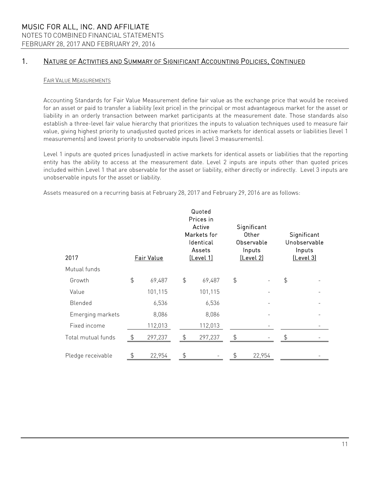### FAIR VALUE MEASUREMENTS

Accounting Standards for Fair Value Measurement define fair value as the exchange price that would be received for an asset or paid to transfer a liability (exit price) in the principal or most advantageous market for the asset or liability in an orderly transaction between market participants at the measurement date. Those standards also establish a three-level fair value hierarchy that prioritizes the inputs to valuation techniques used to measure fair value, giving highest priority to unadjusted quoted prices in active markets for identical assets or liabilities (level 1 measurements) and lowest priority to unobservable inputs (level 3 measurements).

Level 1 inputs are quoted prices (unadjusted) in active markets for identical assets or liabilities that the reporting entity has the ability to access at the measurement date. Level 2 inputs are inputs other than quoted prices included within Level 1 that are observable for the asset or liability, either directly or indirectly. Level 3 inputs are unobservable inputs for the asset or liability.

Assets measured on a recurring basis at February 28, 2017 and February 29, 2016 are as follows:

| 2017               |               | Fair Value |               | Quoted<br>Prices in<br>Active<br>Markets for<br>Identical<br>Assets<br>[Level 1] |               | Significant<br>Other<br>Observable<br>Inputs<br>[Level 2] |               | Significant<br>Unobservable<br>Inputs<br>[Level 3] |
|--------------------|---------------|------------|---------------|----------------------------------------------------------------------------------|---------------|-----------------------------------------------------------|---------------|----------------------------------------------------|
| Mutual funds       |               |            |               |                                                                                  |               |                                                           |               |                                                    |
| Growth             | $\frac{4}{5}$ | 69,487     | $\frac{4}{5}$ | 69,487                                                                           | $\frac{4}{5}$ |                                                           | $\frac{4}{5}$ |                                                    |
| Value              |               | 101,115    |               | 101,115                                                                          |               |                                                           |               |                                                    |
| Blended            |               | 6,536      |               | 6,536                                                                            |               |                                                           |               |                                                    |
| Emerging markets   |               | 8,086      |               | 8,086                                                                            |               |                                                           |               |                                                    |
| Fixed income       |               | 112,013    |               | 112,013                                                                          |               |                                                           |               |                                                    |
| Total mutual funds | \$            | 297,237    | \$            | 297,237                                                                          | \$            |                                                           |               |                                                    |
| Pledge receivable  | \$            | 22,954     | \$            |                                                                                  | \$            | 22,954                                                    |               |                                                    |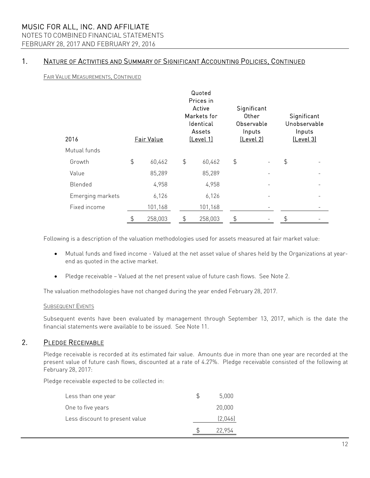# NOTES TO COMBINED FINANCIAL STATEMENTS

FEBRUARY 28, 2017 AND FEBRUARY 29, 2016

### 1. NATURE OF ACTIVITIES AND SUMMARY OF SIGNIFICANT ACCOUNTING POLICIES, CONTINUED

FAIR VALUE MEASUREMENTS, CONTINUED

| 2016             | Fair Value   |               | Quoted<br>Prices in<br>Active<br>Markets for<br>Identical<br>Assets<br>[Level 1] | Significant<br>Other<br>Observable<br>Inputs<br>[Level 2] |               | Significant<br>Unobservable<br>Inputs<br>[Level 3] |
|------------------|--------------|---------------|----------------------------------------------------------------------------------|-----------------------------------------------------------|---------------|----------------------------------------------------|
| Mutual funds     |              |               |                                                                                  |                                                           |               |                                                    |
| Growth           | \$<br>60,462 | $\frac{4}{5}$ | 60,462                                                                           | \$                                                        | $\frac{1}{2}$ |                                                    |
| Value            | 85,289       |               | 85,289                                                                           |                                                           |               |                                                    |
| Blended          | 4,958        |               | 4,958                                                                            |                                                           |               |                                                    |
| Emerging markets | 6,126        |               | 6,126                                                                            |                                                           |               |                                                    |
| Fixed income     | 101,168      |               | 101,168                                                                          |                                                           |               |                                                    |
|                  | 258,003      | \$            | 258,003                                                                          | \$                                                        | \$            |                                                    |

Following is a description of the valuation methodologies used for assets measured at fair market value:

- Mutual funds and fixed income Valued at the net asset value of shares held by the Organizations at yearend as quoted in the active market.
- Pledge receivable Valued at the net present value of future cash flows. See Note 2.

The valuation methodologies have not changed during the year ended February 28, 2017.

### **SUBSEQUENT EVENTS**

Subsequent events have been evaluated by management through September 13, 2017, which is the date the financial statements were available to be issued. See Note 11.

### 2. PLEDGE RECEIVABLE

Pledge receivable is recorded at its estimated fair value. Amounts due in more than one year are recorded at the present value of future cash flows, discounted at a rate of 4.27%. Pledge receivable consisted of the following at February 28, 2017:

Pledge receivable expected to be collected in:

| Less than one year             | 5,000   |
|--------------------------------|---------|
| One to five years              | 20,000  |
| Less discount to present value | (2,046) |
|                                | 22.954  |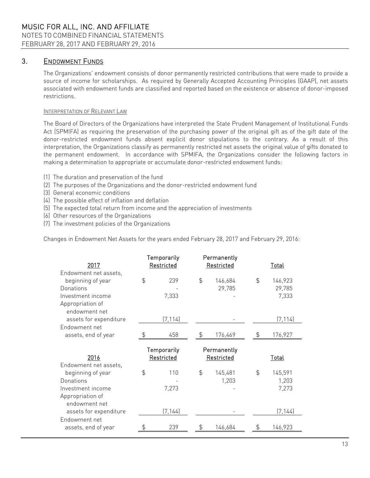### 3. ENDOWMENT FUNDS

The Organizations' endowment consists of donor permanently restricted contributions that were made to provide a source of income for scholarships. As required by Generally Accepted Accounting Principles (GAAP), net assets associated with endowment funds are classified and reported based on the existence or absence of donor-imposed restrictions.

### INTERPRETATION OF RELEVANT LAW

The Board of Directors of the Organizations have interpreted the State Prudent Management of Institutional Funds Act (SPMIFA) as requiring the preservation of the purchasing power of the original gift as of the gift date of the donor-restricted endowment funds absent explicit donor stipulations to the contrary. As a result of this interpretation, the Organizations classify as permanently restricted net assets the original value of gifts donated to the permanent endowment. In accordance with SPMIFA, the Organizations consider the following factors in making a determination to appropriate or accumulate donor-restricted endowment funds:

- (1) The duration and preservation of the fund
- (2) The purposes of the Organizations and the donor-restricted endowment fund
- (3) General economic conditions
- (4) The possible effect of inflation and deflation
- (5) The expected total return from income and the appreciation of investments
- (6) Other resources of the Organizations
- (7) The investment policies of the Organizations

Changes in Endowment Net Assets for the years ended February 28, 2017 and February 29, 2016:

| 2017                                       | Temporarily<br>Restricted | Permanently<br>Restricted |                | <u>Total</u> |
|--------------------------------------------|---------------------------|---------------------------|----------------|--------------|
| Endowment net assets,<br>beginning of year | \$<br>239                 | \$<br>146,684             | $\mathfrak{P}$ | 146,923      |
| Donations                                  |                           | 29,785                    |                | 29,785       |
| Investment income                          | 7,333                     |                           |                | 7,333        |
| Appropriation of                           |                           |                           |                |              |
| endowment net                              |                           |                           |                |              |
| assets for expenditure                     | (7, 114)                  |                           |                | (7, 114)     |
| Endowment net                              |                           |                           |                |              |
| assets, end of year                        | 458                       | \$<br>176,469             | \$             | 176,927      |
|                                            |                           |                           |                |              |
|                                            |                           |                           |                |              |
|                                            | Temporarily               | Permanently               |                |              |
| 2016                                       | Restricted                | Restricted                |                | Total        |
| Endowment net assets,                      |                           |                           |                |              |
| beginning of year                          | \$<br>110                 | \$<br>145,481             | \$             | 145,591      |
| Donations                                  |                           | 1,203                     |                | 1,203        |
| Investment income                          | 7,273                     |                           |                | 7,273        |
| Appropriation of                           |                           |                           |                |              |
| endowment net                              |                           |                           |                |              |
| assets for expenditure                     | (7, 144)                  |                           |                | (7, 144)     |
| Endowment net                              |                           |                           |                |              |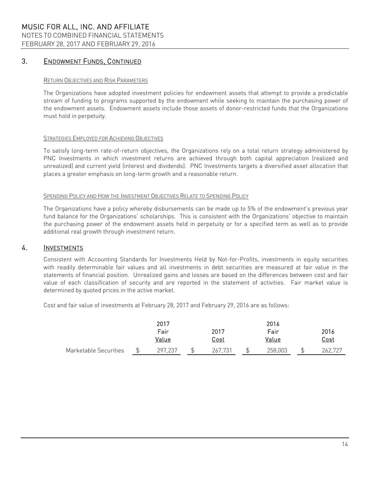### 3. ENDOWMENT FUNDS, CONTINUED

### RETURN OBJECTIVES AND RISK PARAMETERS

The Organizations have adopted investment policies for endowment assets that attempt to provide a predictable stream of funding to programs supported by the endowment while seeking to maintain the purchasing power of the endowment assets. Endowment assets include those assets of donor-restricted funds that the Organizations must hold in perpetuity.

#### STRATEGIES EMPLOYED FOR ACHIEVING OBJECTIVES

To satisfy long-term rate-of-return objectives, the Organizations rely on a total return strategy administered by PNC Investments in which investment returns are achieved through both capital appreciation (realized and unrealized) and current yield (interest and dividends). PNC Investments targets a diversified asset allocation that places a greater emphasis on long-term growth and a reasonable return.

#### SPENDING POLICY AND HOW THE INVESTMENT OBJECTIVES RELATE TO SPENDING POLICY

The Organizations have a policy whereby disbursements can be made up to 5% of the endowment's previous year fund balance for the Organizations' scholarships. This is consistent with the Organizations' objective to maintain the purchasing power of the endowment assets held in perpetuity or for a specified term as well as to provide additional real growth through investment return.

### 4. INVESTMENTS

Consistent with Accounting Standards for Investments Held by Not-for-Profits, investments in equity securities with readily determinable fair values and all investments in debt securities are measured at fair value in the statements of financial position. Unrealized gains and losses are based on the differences between cost and fair value of each classification of security and are reported in the statement of activities. Fair market value is determined by quoted prices in the active market.

Cost and fair value of investments at February 28, 2017 and February 29, 2016 are as follows:

|                       | 2017         |             | 2016    |             |
|-----------------------|--------------|-------------|---------|-------------|
|                       | Fair         | 2017        | Fair    | 2016        |
|                       | <u>Value</u> | <u>Cost</u> | Value   | <u>Cost</u> |
| Marketable Securities | 297,237      | 267,731     | 258,003 | 262,727     |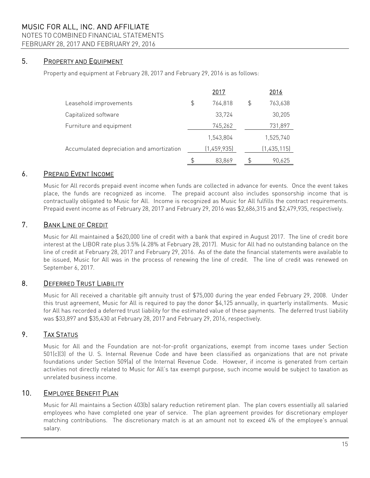### NOTES TO COMBINED FINANCIAL STATEMENTS

FEBRUARY 28, 2017 AND FEBRUARY 29, 2016

### 5. PROPERTY AND EQUIPMENT

Property and equipment at February 28, 2017 and February 29, 2016 is as follows:

|                                           | 2017          |    | 2016        |
|-------------------------------------------|---------------|----|-------------|
| Leasehold improvements                    | \$<br>764,818 | \$ | 763,638     |
| Capitalized software                      | 33,724        |    | 30,205      |
| Furniture and equipment                   | 745,262       |    | 731,897     |
|                                           | 1,543,804     |    | 1,525,740   |
| Accumulated depreciation and amortization | (1,459,935)   |    | (1,435,115) |
|                                           | 83,869        | S  | 90,625      |

### 6. PREPAID EVENT INCOME

Music for All records prepaid event income when funds are collected in advance for events. Once the event takes place, the funds are recognized as income. The prepaid account also includes sponsorship income that is contractually obligated to Music for All. Income is recognized as Music for All fulfills the contract requirements. Prepaid event income as of February 28, 2017 and February 29, 2016 was \$2,686,315 and \$2,479,935, respectively.

### 7. BANK LINE OF CREDIT

Music for All maintained a \$620,000 line of credit with a bank that expired in August 2017. The line of credit bore interest at the LIBOR rate plus 3.5% (4.28% at February 28, 2017). Music for All had no outstanding balance on the line of credit at February 28, 2017 and February 29, 2016. As of the date the financial statements were available to be issued, Music for All was in the process of renewing the line of credit. The line of credit was renewed on September 6, 2017.

### 8. DEFERRED TRUST LIABILITY

Music for All received a charitable gift annuity trust of \$75,000 during the year ended February 29, 2008. Under this trust agreement, Music for All is required to pay the donor \$4,125 annually, in quarterly installments. Music for All has recorded a deferred trust liability for the estimated value of these payments. The deferred trust liability was \$33,897 and \$35,430 at February 28, 2017 and February 29, 2016, respectively.

### 9. TAX STATUS

Music for All and the Foundation are not-for-profit organizations, exempt from income taxes under Section 501(c)(3) of the U. S. Internal Revenue Code and have been classified as organizations that are not private foundations under Section 509(a) of the Internal Revenue Code. However, if income is generated from certain activities not directly related to Music for All's tax exempt purpose, such income would be subject to taxation as unrelated business income.

### 10. EMPLOYEE BENEFIT PLAN

Music for All maintains a Section 403(b) salary reduction retirement plan. The plan covers essentially all salaried employees who have completed one year of service. The plan agreement provides for discretionary employer matching contributions. The discretionary match is at an amount not to exceed 4% of the employee's annual salary.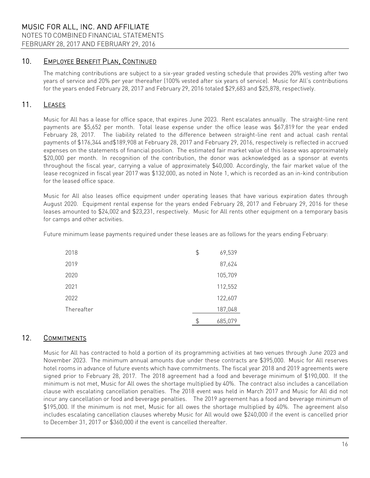FEBRUARY 28, 2017 AND FEBRUARY 29, 2016

### 10. EMPLOYEE BENEFIT PLAN, CONTINUED

The matching contributions are subject to a six-year graded vesting schedule that provides 20% vesting after two years of service and 20% per year thereafter (100% vested after six years of service). Music for All's contributions for the years ended February 28, 2017 and February 29, 2016 totaled \$29,683 and \$25,878, respectively.

### 11. LEASES

Music for All has a lease for office space, that expires June 2023. Rent escalates annually. The straight-line rent payments are \$5,652 per month. Total lease expense under the office lease was \$67,819 for the year ended February 28, 2017. The liability related to the difference between straight-line rent and actual cash rental payments of \$176,344 and\$189,908 at February 28, 2017 and February 29, 2016, respectively is reflected in accrued expenses on the statements of financial position. The estimated fair market value of this lease was approximately \$20,000 per month. In recognition of the contribution, the donor was acknowledged as a sponsor at events throughout the fiscal year, carrying a value of approximately \$40,000. Accordingly, the fair market value of the lease recognized in fiscal year 2017 was \$132,000, as noted in Note 1, which is recorded as an in-kind contribution for the leased office space.

Music for All also leases office equipment under operating leases that have various expiration dates through August 2020. Equipment rental expense for the years ended February 28, 2017 and February 29, 2016 for these leases amounted to \$24,002 and \$23,231, respectively. Music for All rents other equipment on a temporary basis for camps and other activities.

Future minimum lease payments required under these leases are as follows for the years ending February:

| 2018       | \$<br>69,539  |
|------------|---------------|
| 2019       | 87,624        |
| 2020       | 105,709       |
| 2021       | 112,552       |
| 2022       | 122,607       |
| Thereafter | 187,048       |
|            | \$<br>685,079 |

### 12. COMMITMENTS

Music for All has contracted to hold a portion of its programming activities at two venues through June 2023 and November 2023. The minimum annual amounts due under these contracts are \$395,000. Music for All reserves hotel rooms in advance of future events which have commitments. The fiscal year 2018 and 2019 agreements were signed prior to February 28, 2017. The 2018 agreement had a food and beverage minimum of \$190,000. If the minimum is not met, Music for All owes the shortage multiplied by 40%. The contract also includes a cancellation clause with escalating cancellation penalties. The 2018 event was held in March 2017 and Music for All did not incur any cancellation or food and beverage penalties. The 2019 agreement has a food and beverage minimum of \$195,000. If the minimum is not met, Music for all owes the shortage multiplied by 40%. The agreement also includes escalating cancellation clauses whereby Music for All would owe \$240,000 if the event is cancelled prior to December 31, 2017 or \$360,000 if the event is cancelled thereafter.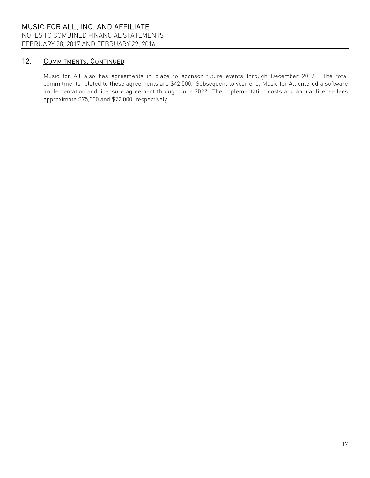NOTES TO COMBINED FINANCIAL STATEMENTS

FEBRUARY 28, 2017 AND FEBRUARY 29, 2016

# 12. COMMITMENTS, CONTINUED

Music for All also has agreements in place to sponsor future events through December 2019. The total commitments related to these agreements are \$42,500. Subsequent to year end, Music for All entered a software implementation and licensure agreement through June 2022. The implementation costs and annual license fees approximate \$75,000 and \$72,000, respectively.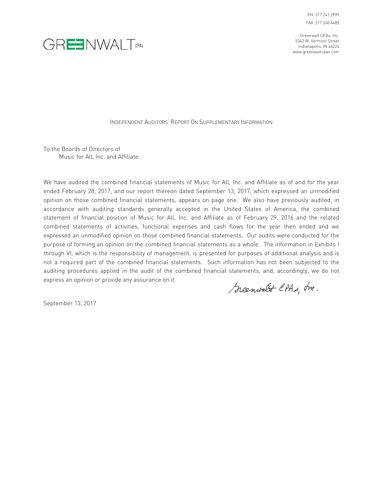PH 317 241 2999 FAX 317 240 4485

Greenwalt CPAs, Inc. 5342 W. Vermont Street Indianapolis, IN 46224 www.greenwaltcpas.com



INDEPENDENT AUDITORS' REPORT ON SUPPLEMENTARY INFORMATION

To the Boards of Directors of Music for All, Inc. and Affiliate:

We have audited the combined financial statements of Music for All, Inc. and Affiliate as of and for the year ended February 28, 2017, and our report thereon dated September 13, 2017, which expressed an unmodified opinion on those combined financial statements, appears on page one. We also have previously audited, in accordance with auditing standards generally accepted in the United States of America, the combined statement of financial position of Music for All, Inc. and Affiliate as of February 29, 2016 and the related combined statements of activities, functional expenses and cash flows for the year then ended and we expressed an unmodified opinion on those combined financial statements. Our audits were conducted for the purpose of forming an opinion on the combined financial statements as a whole. The information in Exhibits I through VI, which is the responsibility of management, is presented for purposes of additional analysis and is not a required part of the combined financial statements. Such information has not been subjected to the auditing procedures applied in the audit of the combined financial statements, and, accordingly, we do not express an opinion or provide any assurance on it.

Greenwalt CPAs, Inc.

September 13, 2017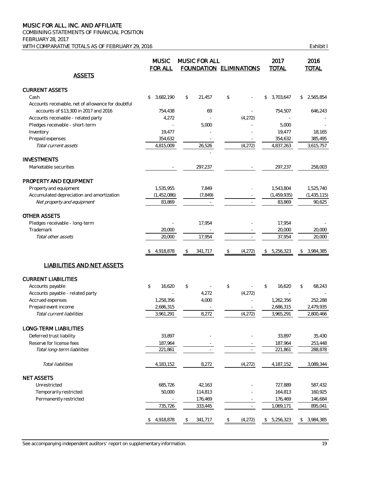COMBINING STATEMENTS OF FINANCIAL POSITION FEBRUARY 28, 2017 WITH COMPARATIVE TOTALS AS OF FEBRUARY 29, 2016 COMPARATIVE TOTALS AS OF FEBRUARY 29, 2016

|                                                    | <b>MUSIC</b><br><b>FOR ALL</b> |                                                         | <b>MUSIC FOR ALL</b><br><b>FOUNDATION ELIMINATIONS</b> |                                               |                          | 2017<br><b>TOTAL</b> | 2016<br><b>TOTAL</b> |
|----------------------------------------------------|--------------------------------|---------------------------------------------------------|--------------------------------------------------------|-----------------------------------------------|--------------------------|----------------------|----------------------|
| <b>ASSETS</b>                                      |                                |                                                         |                                                        |                                               |                          |                      |                      |
| <b>CURRENT ASSETS</b>                              |                                |                                                         |                                                        |                                               |                          |                      |                      |
| Cash                                               | 3,682,190<br>\$                | \$                                                      | 21.457                                                 | \$                                            |                          | \$<br>3,703,647      | \$<br>2,565,854      |
| Accounts receivable, net of allowance for doubtful |                                |                                                         |                                                        |                                               |                          |                      |                      |
| accounts of \$13,300 in 2017 and 2016              | 754,438                        |                                                         | 69                                                     |                                               |                          | 754,507              | 646,243              |
| Accounts receivable - related party                | 4,272                          |                                                         |                                                        |                                               | (4,272)                  |                      |                      |
| Pledges receivable - short-term                    |                                |                                                         | 5,000                                                  |                                               |                          | 5,000                |                      |
| Inventory<br>Prepaid expenses                      | 19,477<br>354,632              |                                                         | $\sim$                                                 |                                               |                          | 19,477<br>354,632    | 18,165<br>385,495    |
| Total current assets                               | 4,815,009                      |                                                         | 26,526                                                 |                                               | (4,272)                  | 4,837,263            | 3,615,757            |
| <b>INVESTMENTS</b>                                 |                                |                                                         |                                                        |                                               |                          |                      |                      |
| Marketable securities                              |                                |                                                         | 297,237                                                |                                               |                          | 297,237              | 258,003              |
| PROPERTY AND EQUIPMENT                             |                                |                                                         |                                                        |                                               |                          |                      |                      |
| Property and equipment                             | 1,535,955                      |                                                         | 7,849                                                  |                                               |                          | 1,543,804            | 1,525,740            |
| Accumulated depreciation and amortization          | (1,452,086)                    |                                                         | (7, 849)                                               |                                               |                          | (1, 459, 935)        | (1, 435, 115)        |
| Net property and equipment                         | 83,869                         |                                                         | $\overline{\phantom{a}}$                               |                                               | $\sim$                   | 83,869               | 90,625               |
| OTHER ASSETS                                       |                                |                                                         |                                                        |                                               |                          |                      |                      |
| Pledges receivable - long-term                     |                                |                                                         | 17,954                                                 |                                               |                          | 17,954               |                      |
| Trademark                                          | 20,000                         |                                                         |                                                        |                                               |                          | 20,000               | 20,000               |
| Total other assets                                 | 20,000                         |                                                         | 17,954                                                 |                                               |                          | 37,954               | 20,000               |
|                                                    | 4,918,878<br>\$                | \$                                                      | 341,717                                                | \$                                            | (4,272)                  | \$<br>5,256,323      | \$<br>3,984,385      |
| <b>LIABILITIES AND NET ASSETS</b>                  |                                |                                                         |                                                        |                                               |                          |                      |                      |
| <b>CURRENT LIABILITIES</b>                         |                                |                                                         |                                                        |                                               |                          |                      |                      |
| Accounts payable                                   | \$<br>16,620                   | \$                                                      |                                                        | \$                                            |                          | \$<br>16,620         | \$<br>68,243         |
| Accounts payable - related party                   |                                |                                                         | 4,272                                                  |                                               | (4, 272)                 |                      |                      |
| Accrued expenses                                   | 1,258,356                      |                                                         | 4,000                                                  |                                               | $\bar{a}$                | 1,262,356            | 252,288              |
| Prepaid event income<br>Total current liabilities  | 2,686,315                      |                                                         |                                                        |                                               | $\overline{\phantom{a}}$ | 2,686,315            | 2,479,935            |
|                                                    | 3,961,291                      |                                                         | 8,272                                                  |                                               | (4,272)                  | 3,965,291            | 2,800,466            |
| LONG-TERM LIABILITIES                              |                                |                                                         |                                                        |                                               |                          |                      |                      |
| Deferred trust liability                           | 33,897                         |                                                         |                                                        |                                               |                          | 33,897               | 35,430               |
| Reserve for license fees                           | 187,964                        |                                                         |                                                        |                                               |                          | 187,964              | 253,448              |
| Total long-term liabilities                        | 221,861                        |                                                         | $\overline{\phantom{a}}$                               |                                               | $\overline{\phantom{a}}$ | 221,861              | 288,878              |
| Total liabilities                                  | 4,183,152                      |                                                         | 8,272                                                  |                                               | (4,272)                  | 4,187,152            | 3,089,344            |
| <b>NET ASSETS</b>                                  |                                |                                                         |                                                        |                                               |                          |                      |                      |
| Unrestricted                                       | 685,726                        |                                                         | 42,163                                                 |                                               |                          | 727,889              | 587,432              |
| Temporarily restricted                             | 50,000                         |                                                         | 114,813                                                |                                               |                          | 164,813              | 160,925              |
| Permanently restricted                             |                                |                                                         | 176,469                                                |                                               |                          | 176,469              | 146,684              |
|                                                    | 735,726                        |                                                         | 333,445                                                |                                               |                          | 1,069,171            | 895,041              |
|                                                    | \$4,918,878                    | $\, \, \raisebox{-1.5pt}{\rlap{$\scriptstyle\circ$}}\,$ | 341,717                                                | $\, \, \raisebox{-1.5pt}{\ensuremath{\circ}}$ | (4, 272)                 | \$<br>5,256,323      | \$3,984,385          |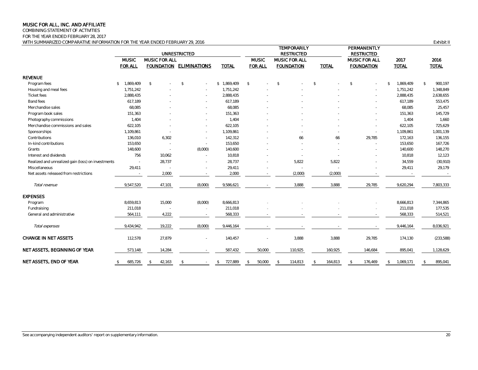COMBINING STATEMENT OF ACTIVITIES

FOR THE YEAR ENDED FEBRUARY 28, 2017

WITH SUMMARIZED COMPARATIVE INFORMATION FOR THE YEAR ENDED FEBRUARY 29, 2016 FEBRUARY 29, 2016

|                                                    |                                |                      | <b>UNRESTRICTED</b>      |                 |                                | <b>TEMPORARILY</b><br><b>RESTRICTED</b> |                          | PERMANENTLY<br><b>RESTRICTED</b>          |                      |                         |
|----------------------------------------------------|--------------------------------|----------------------|--------------------------|-----------------|--------------------------------|-----------------------------------------|--------------------------|-------------------------------------------|----------------------|-------------------------|
|                                                    | <b>MUSIC</b><br><b>FOR ALL</b> | <b>MUSIC FOR ALL</b> | FOUNDATION ELIMINATIONS  | <b>TOTAL</b>    | <b>MUSIC</b><br><b>FOR ALL</b> | MUSIC FOR ALL<br><b>FOUNDATION</b>      | <b>TOTAL</b>             | <b>MUSIC FOR ALL</b><br><b>FOUNDATION</b> | 2017<br><b>TOTAL</b> | 2016<br><b>TOTAL</b>    |
| <b>REVENUE</b>                                     |                                |                      |                          |                 |                                |                                         |                          |                                           |                      |                         |
| Program fees                                       | 1,869,409<br>$\mathbb{S}$      | $$\mathbb{S}$$       | $\mathcal{S}$<br>$\sim$  | 1,869,409<br>\$ | $\mathcal{L}$<br>÷.            | $\mathcal{S}$                           | $\mathbb{S}$             | \$                                        | 1,869,409<br>\$      | $\mathbb{S}$<br>900,197 |
| Housing and meal fees                              | 1,751,242                      |                      |                          | 1,751,242       |                                |                                         |                          |                                           | 1,751,242            | 1,348,849               |
| Ticket fees                                        | 2,888,435                      |                      |                          | 2,888,435       |                                |                                         |                          |                                           | 2,888,435            | 2,638,655               |
| Band fees                                          | 617,189                        |                      |                          | 617,189         |                                |                                         |                          |                                           | 617,189              | 553,475                 |
| Merchandise sales                                  | 68,085                         |                      |                          | 68,085          |                                |                                         |                          |                                           | 68,085               | 25,457                  |
| Program book sales                                 | 151,363                        |                      |                          | 151,363         |                                |                                         |                          |                                           | 151,363              | 145,729                 |
| Photography commissions                            | 1,404                          |                      |                          | 1,404           |                                |                                         |                          |                                           | 1,404                | 1,660                   |
| Merchandise commissions and sales                  | 622,105                        |                      | $\sim$                   | 622,105         |                                |                                         |                          |                                           | 622,105              | 725,629                 |
| Sponsorships                                       | 1,109,861                      |                      | $\sim$                   | 1,109,861       |                                |                                         |                          |                                           | 1,109,861            | 1,001,139               |
| Contributions                                      | 136,010                        | 6,302                | $\sim$                   | 142,312         |                                | 66                                      | 66                       | 29,785                                    | 172,163              | 136,155                 |
| In-kind contributions                              | 153,650                        |                      | $\overline{\phantom{a}}$ | 153,650         |                                |                                         |                          |                                           | 153,650              | 167,726                 |
| Grants                                             | 148,600                        | ÷,                   | (8,000)                  | 140,600         |                                |                                         |                          |                                           | 140,600              | 148,270                 |
| Interest and dividends                             | 756                            | 10,062               |                          | 10,818          |                                |                                         |                          |                                           | 10,818               | 12,123                  |
| Realized and unrealized gain (loss) on investments | $\sim$                         | 28,737               |                          | 28,737          | $\overline{\phantom{a}}$       | 5,822                                   | 5,822                    |                                           | 34,559               | (30, 910)               |
| Miscellaneous                                      | 29,411                         |                      | $\sim$                   | 29,411          |                                |                                         |                          |                                           | 29,411               | 29,179                  |
| Net assets released from restrictions              |                                | 2,000                |                          | 2,000           |                                | (2,000)                                 | (2,000)                  |                                           |                      |                         |
| Total revenue                                      | 9,547,520                      | 47,101               | (8,000)                  | 9,586,621       |                                | 3,888                                   | 3,888                    | 29,785                                    | 9,620,294            | 7,803,333               |
| <b>EXPENSES</b>                                    |                                |                      |                          |                 |                                |                                         |                          |                                           |                      |                         |
| Program                                            | 8,659,813                      | 15,000               | (8,000)                  | 8,666,813       |                                |                                         |                          |                                           | 8,666,813            | 7,344,865               |
| Fundraising                                        | 211,018                        |                      | $\overline{\phantom{a}}$ | 211,018         |                                |                                         |                          |                                           | 211,018              | 177,535                 |
| General and administrative                         | 564,111                        | 4,222                | $\sim$                   | 568,333         |                                |                                         |                          |                                           | 568,333              | 514,521                 |
| Total expenses                                     | 9,434,942                      | 19,222               | (8,000)                  | 9,446,164       |                                |                                         |                          |                                           | 9,446,164            | 8,036,921               |
| <b>CHANGE IN NET ASSETS</b>                        | 112,578                        | 27,879               |                          | 140,457         |                                | 3,888                                   | 3,888                    | 29,785                                    | 174,130              | (233, 588)              |
| NET ASSETS, BEGINNING OF YEAR                      | 573,148                        | 14,284               |                          | 587,432         | 50,000                         | 110,925                                 | 160,925                  | 146,684                                   | 895,041              | 1,128,629               |
| NET ASSETS, END OF YEAR                            | 685,726<br>\$                  | 42,163<br>\$.        | $\mathcal{S}$            | 727,889<br>s.   | 50.000<br>\$                   | 114,813<br>$\mathcal{L}$                | 164,813<br>$\mathcal{S}$ | 176,469<br>\$                             | 1,069,171<br>\$      | 895,041                 |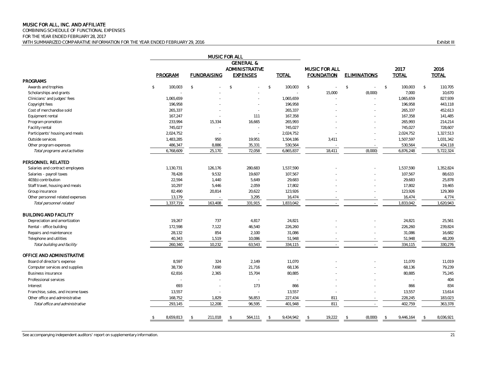COMBINING SCHEDULE OF FUNCTIONAL EXPENSES

FOR THE YEAR ENDED FEBRUARY 28, 2017

WITH SUMMARIZED COMPARATIVE INFORMATION FOR THE YEAR ENDED FEBRUARY 29, 2016 FOR THE SUMMARIZED COMPARATIVE INFORMATION FOR THE YEAR ENDED FEBRUARY 29, 2016

|                                    |                          |                    | MUSIC FOR ALL         |                          |                          |                          |                          |                          |
|------------------------------------|--------------------------|--------------------|-----------------------|--------------------------|--------------------------|--------------------------|--------------------------|--------------------------|
|                                    |                          |                    |                       |                          |                          |                          |                          |                          |
|                                    |                          |                    | <b>ADMINISTRATIVE</b> |                          | <b>MUSIC FOR ALL</b>     |                          | 2017                     | 2016                     |
|                                    | PROGRAM                  | <b>FUNDRAISING</b> | <b>EXPENSES</b>       | <b>TOTAL</b>             | <b>FOUNDATION</b>        | <b>ELIMINATIONS</b>      | <b>TOTAL</b>             | <b>TOTAL</b>             |
| <b>PROGRAMS</b>                    |                          |                    |                       |                          |                          |                          |                          |                          |
| Awards and trophies                | ${\mathbb S}$<br>100,003 | $\mathbb{S}$       | $\mathcal{S}$         | $\mathcal{S}$<br>100,003 | $\mathbb{S}$<br>$\omega$ | $\mathbb{S}$<br>$\sim$   | $\mathcal{S}$<br>100,003 | $\mathcal{S}$<br>110,705 |
| Scholarships and grants            |                          |                    |                       |                          | 15,000                   | (8,000)                  | 7,000                    | 10,670                   |
| Clinicians' and judges' fees       | 1,065,659                |                    |                       | 1,065,659                |                          | $\sim$                   | 1,065,659                | 827,939                  |
| Copyright fees                     | 196,958                  |                    |                       | 196,958                  |                          |                          | 196,958                  | 443,118                  |
| Cost of merchandise sold           | 265,337                  |                    | in 1919.              | 265,337                  |                          |                          | 265,337                  | 452,613                  |
| Equipment rental                   | 167,247                  |                    | 111                   | 167,358                  |                          |                          | 167,358                  | 141,485                  |
| Program promotion                  | 233,994                  | 15,334             | 16,665                | 265,993                  |                          |                          | 265,993                  | 214,214                  |
| Facility rental                    | 745,027                  |                    | $\sim$                | 745,027                  |                          |                          | 745,027                  | 728,607                  |
| Participants' housing and meals    | 2,024,752                |                    | $\sim$                | 2,024,752                |                          |                          | 2,024,752                | 1,327,513                |
| Outside services                   | 1,483,285                | 950                | 19,951                | 1,504,186                | 3,411                    |                          | 1,507,597                | 1,031,342                |
| Other program expenses             | 486,347                  | 8,886              | 35,331                | 530,564                  |                          | $\sim$                   | 530,564                  | 434,118                  |
| Total programs and activities      | 6,768,609                | 25,170             | 72,058                | 6,865,837                | 18,411                   | (8,000)                  | 6,876,248                | 5,722,324                |
| PERSONNEL RELATED                  |                          |                    |                       |                          |                          |                          |                          |                          |
| Salaries and contract employees    | 1,130,731                | 126,176            | 280,683               | 1,537,590                |                          |                          | 1,537,590                | 1,352,824                |
| Salaries - payroll taxes           | 78,428                   | 9,532              | 19,607                | 107,567                  |                          |                          | 107,567                  | 88,633                   |
| 403(b) contribution                | 22,594                   | 1,440              | 5,649                 | 29,683                   |                          |                          | 29,683                   | 25,878                   |
| Staff travel, housing and meals    | 10,297                   | 5,446              | 2,059                 | 17,802                   |                          |                          | 17,802                   | 19,465                   |
| Group insurance                    | 82,490                   | 20,814             | 20,622                | 123,926                  |                          |                          | 123,926                  | 129,369                  |
| Other personnel related expenses   | 13,179                   |                    | 3,295                 | 16,474                   |                          |                          | 16,474                   | 4,774                    |
| Total personnel related            | 1,337,719                | 163,408            | 331,915               | 1,833,042                | $\sim$                   | $\sim$                   | 1,833,042                | 1,620,943                |
| <b>BUILDING AND FACILITY</b>       |                          |                    |                       |                          |                          |                          |                          |                          |
| Depreciation and amortization      | 19,267                   | 737                | 4,817                 | 24,821                   |                          |                          | 24,821                   | 25,561                   |
| Rental - office building           | 172,598                  | 7,122              | 46,540                | 226,260                  |                          |                          | 226,260                  | 239,824                  |
| Repairs and maintenance            | 28,132                   | 854                | 2,100                 | 31,086                   |                          |                          | 31,086                   | 16,682                   |
| Telephone and utilities            | 40,343                   | 1,519              | 10,086                | 51,948                   |                          | $\overline{\phantom{a}}$ | 51,948                   | 48,209                   |
| Total building and facility        | 260,340                  | 10,232             | 63,543                | 334,115                  |                          |                          | 334,115                  | 330,276                  |
| OFFICE AND ADMINISTRATIVE          |                          |                    |                       |                          |                          |                          |                          |                          |
| Board of director's expense        | 8,597                    | 324                | 2,149                 | 11,070                   |                          |                          | 11,070                   | 11,019                   |
| Computer services and supplies     | 38,730                   | 7,690              | 21,716                | 68,136                   |                          |                          | 68,136                   | 79,239                   |
| <b>Business insurance</b>          | 62,816                   | 2,365              | 15,704                | 80,885                   |                          |                          | 80,885                   | 75,245                   |
| Professional services              | $\sim$                   |                    | $\sim$                |                          |                          |                          |                          | 404                      |
| Interest                           | 693                      |                    | 173                   | 866                      |                          |                          | 866                      | 834                      |
| Franchise, sales, and income taxes | 13,557                   |                    | $\sim$                | 13,557                   |                          | i.                       | 13,557                   | 13,614                   |
| Other office and administrative    | 168,752                  | 1,829              | 56,853                | 227,434                  | 811                      | $\sim$                   | 228,245                  | 183,023                  |
| Total office and administrative    | 293,145                  | 12,208             | 96,595                | 401,948                  | 811                      | $\sim$                   | 402,759                  | 363,378                  |
|                                    |                          |                    |                       |                          |                          |                          |                          |                          |
|                                    | 8,659,813<br>-S          | 211,018            | 564,111               | 9,434,942                | 19,222                   | (8,000)                  | 9,446,164                | 8,036,921                |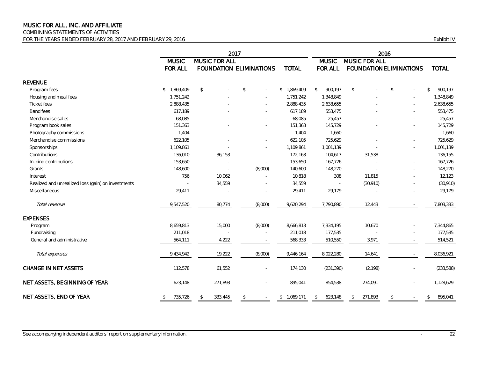COMBINING STATEMENTS OF ACTIVITIES

FOR THE YEARS ENDED FEBRUARY 28, 2017 AND FEBRUARY 29, 2016 CHANGER AND THE STATE OF STATE IN THE YEARS ENDED FEBRUARY 28, 2017 AND FEBRUARY 29, 2016

|                                                    |                |                      | 2016         |                                |              |                         |    |                                |    |                          |                         |
|----------------------------------------------------|----------------|----------------------|--------------|--------------------------------|--------------|-------------------------|----|--------------------------------|----|--------------------------|-------------------------|
|                                                    | <b>MUSIC</b>   | <b>MUSIC FOR ALL</b> |              |                                |              | <b>MUSIC</b>            |    | <b>MUSIC FOR ALL</b>           |    |                          |                         |
|                                                    | <b>FOR ALL</b> |                      |              | <b>FOUNDATION ELIMINATIONS</b> | <b>TOTAL</b> | <b>FOR ALL</b>          |    | <b>FOUNDATION ELIMINATIONS</b> |    |                          | <b>TOTAL</b>            |
| <b>REVENUE</b>                                     |                |                      |              |                                |              |                         |    |                                |    |                          |                         |
| Program fees                                       | \$1,869,409    | \$                   | $\mathbb{S}$ |                                | \$1,869,409  | $\mathbb{S}$<br>900,197 | \$ |                                | \$ |                          | 900,197<br>$\mathbb{S}$ |
| Housing and meal fees                              | 1,751,242      |                      |              |                                | 1,751,242    | 1,348,849               |    |                                |    |                          | 1,348,849               |
| <b>Ticket</b> fees                                 | 2,888,435      |                      |              |                                | 2,888,435    | 2,638,655               |    |                                |    |                          | 2,638,655               |
| Band fees                                          | 617,189        |                      |              |                                | 617,189      | 553,475                 |    |                                |    |                          | 553,475                 |
| Merchandise sales                                  | 68,085         |                      |              |                                | 68,085       | 25,457                  |    |                                |    |                          | 25,457                  |
| Program book sales                                 | 151,363        |                      |              |                                | 151,363      | 145,729                 |    |                                |    |                          | 145,729                 |
| Photography commissions                            | 1,404          |                      |              |                                | 1,404        | 1,660                   |    |                                |    |                          | 1,660                   |
| Merchandise commissions                            | 622,105        |                      |              |                                | 622,105      | 725,629                 |    |                                |    |                          | 725,629                 |
| Sponsorships                                       | 1,109,861      |                      |              |                                | 1,109,861    | 1,001,139               |    |                                |    |                          | 1,001,139               |
| Contributions                                      | 136,010        | 36,153               |              |                                | 172,163      | 104,617                 |    | 31,538                         |    |                          | 136,155                 |
| In-kind contributions                              | 153,650        |                      |              |                                | 153,650      | 167,726                 |    |                                |    |                          | 167,726                 |
| Grants                                             | 148,600        | $\sim$               |              | (8,000)                        | 140,600      | 148,270                 |    |                                |    |                          | 148,270                 |
| Interest                                           | 756            | 10,062               |              |                                | 10,818       | 308                     |    | 11,815                         |    |                          | 12,123                  |
| Realized and unrealized loss (gain) on investments |                | 34,559               |              |                                | 34,559       |                         |    | (30, 910)                      |    |                          | (30, 910)               |
| Miscellaneous                                      | 29,411         |                      |              |                                | 29,411       | 29,179                  |    |                                |    | $\sim$                   | 29,179                  |
| Total revenue                                      | 9,547,520      | 80,774               |              | (8,000)                        | 9,620,294    | 7,790,890               |    | 12,443                         |    |                          | 7,803,333               |
| <b>EXPENSES</b>                                    |                |                      |              |                                |              |                         |    |                                |    |                          |                         |
| Program                                            | 8,659,813      | 15,000               |              | (8,000)                        | 8,666,813    | 7,334,195               |    | 10,670                         |    |                          | 7,344,865               |
| Fundraising                                        | 211,018        |                      |              |                                | 211,018      | 177,535                 |    |                                |    |                          | 177,535                 |
| General and administrative                         | 564,111        | 4,222                |              |                                | 568,333      | 510,550                 |    | 3,971                          |    |                          | 514,521                 |
| Total expenses                                     | 9,434,942      | 19,222               |              | (8,000)                        | 9,446,164    | 8,022,280               |    | 14,641                         |    | $\overline{\phantom{a}}$ | 8,036,921               |
| <b>CHANGE IN NET ASSETS</b>                        | 112,578        | 61,552               |              |                                | 174,130      | (231, 390)              |    | (2, 198)                       |    | $\blacksquare$           | (233, 588)              |
| NET ASSETS, BEGINNING OF YEAR                      | 623,148        | 271,893              |              |                                | 895,041      | 854,538                 |    | 274,091                        |    |                          | 1,128,629               |
| NET ASSETS, END OF YEAR                            | \$<br>735,726  | \$<br>333,445        | \$           |                                | \$1,069,171  | 623,148<br>\$           | \$ | 271,893                        | \$ |                          | \$<br>895,041           |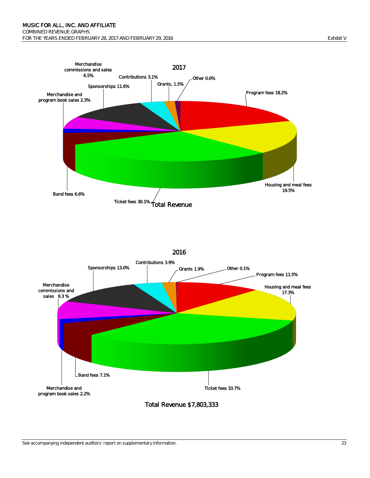



#### See accompanying independent auditors' report on supplementary information. 23